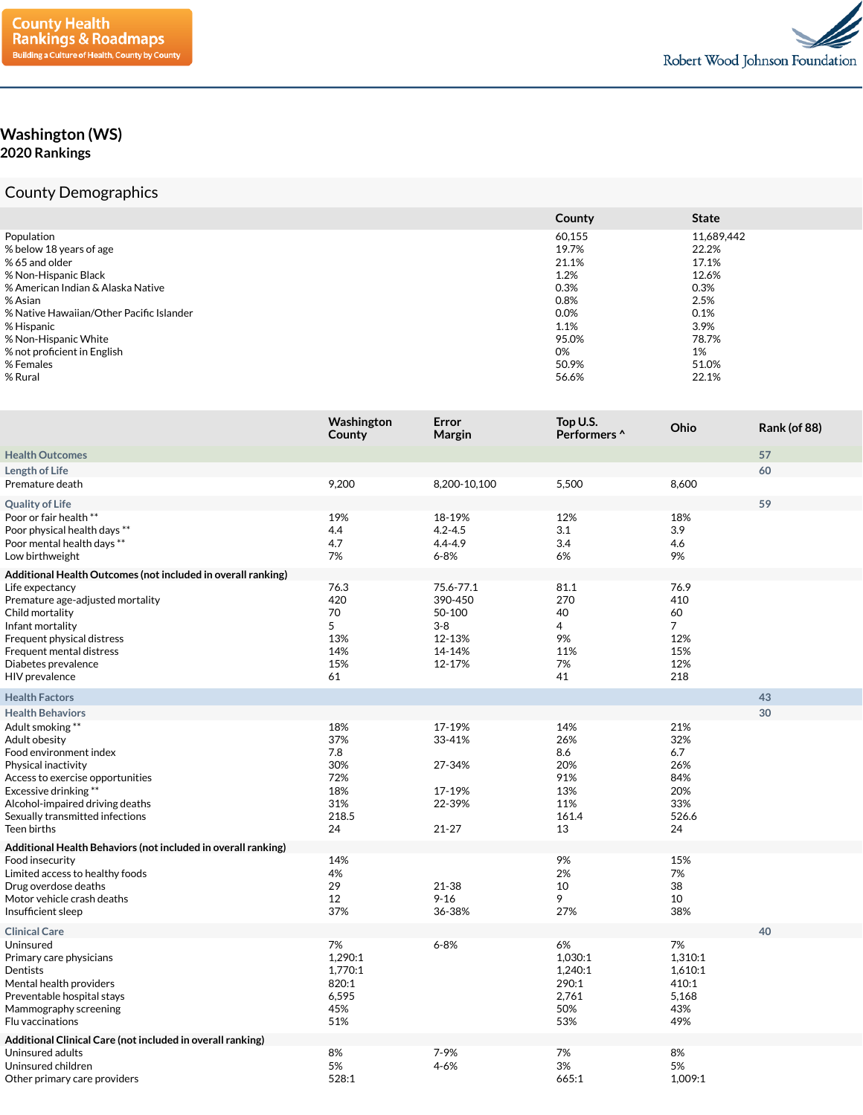

## **Washington (WS) 2020 Rankings**

## County Demographics

|                                          | County | <b>State</b> |
|------------------------------------------|--------|--------------|
| Population                               | 60,155 | 11,689,442   |
| % below 18 years of age                  | 19.7%  | 22.2%        |
| % 65 and older                           | 21.1%  | 17.1%        |
| % Non-Hispanic Black                     | 1.2%   | 12.6%        |
| % American Indian & Alaska Native        | 0.3%   | 0.3%         |
| % Asian                                  | 0.8%   | 2.5%         |
| % Native Hawaiian/Other Pacific Islander | 0.0%   | 0.1%         |
| % Hispanic                               | 1.1%   | 3.9%         |
| % Non-Hispanic White                     | 95.0%  | 78.7%        |
| % not proficient in English              | 0%     | 1%           |
| % Females                                | 50.9%  | 51.0%        |
| % Rural                                  | 56.6%  | 22.1%        |

|                                                                                                                                                                                                                                     | Washington<br>County                                         | Error<br>Margin                                             | Top U.S.<br>Performers ^                                     | Ohio                                                         | Rank (of 88) |
|-------------------------------------------------------------------------------------------------------------------------------------------------------------------------------------------------------------------------------------|--------------------------------------------------------------|-------------------------------------------------------------|--------------------------------------------------------------|--------------------------------------------------------------|--------------|
| <b>Health Outcomes</b>                                                                                                                                                                                                              |                                                              |                                                             |                                                              |                                                              | 57           |
| <b>Length of Life</b>                                                                                                                                                                                                               |                                                              |                                                             |                                                              |                                                              | 60           |
| Premature death                                                                                                                                                                                                                     | 9,200                                                        | 8,200-10,100                                                | 5,500                                                        | 8,600                                                        |              |
| <b>Quality of Life</b>                                                                                                                                                                                                              |                                                              |                                                             |                                                              |                                                              | 59           |
| Poor or fair health **<br>Poor physical health days **<br>Poor mental health days **<br>Low birthweight                                                                                                                             | 19%<br>4.4<br>4.7<br>7%                                      | 18-19%<br>$4.2 - 4.5$<br>$4.4 - 4.9$<br>$6 - 8%$            | 12%<br>3.1<br>3.4<br>6%                                      | 18%<br>3.9<br>4.6<br>9%                                      |              |
| Additional Health Outcomes (not included in overall ranking)<br>Life expectancy<br>Premature age-adjusted mortality<br>Child mortality<br>Infant mortality                                                                          | 76.3<br>420<br>70<br>5                                       | 75.6-77.1<br>390-450<br>50-100<br>$3 - 8$                   | 81.1<br>270<br>40<br>4                                       | 76.9<br>410<br>60<br>$\overline{7}$                          |              |
| Frequent physical distress<br>Frequent mental distress<br>Diabetes prevalence<br>HIV prevalence                                                                                                                                     | 13%<br>14%<br>15%<br>61                                      | 12-13%<br>14-14%<br>12-17%                                  | 9%<br>11%<br>7%<br>41                                        | 12%<br>15%<br>12%<br>218                                     |              |
| <b>Health Factors</b>                                                                                                                                                                                                               |                                                              |                                                             |                                                              |                                                              | 43           |
| <b>Health Behaviors</b>                                                                                                                                                                                                             |                                                              |                                                             |                                                              |                                                              | 30           |
| Adult smoking **<br>Adult obesity<br>Food environment index<br>Physical inactivity<br>Access to exercise opportunities<br>Excessive drinking**<br>Alcohol-impaired driving deaths<br>Sexually transmitted infections<br>Teen births | 18%<br>37%<br>7.8<br>30%<br>72%<br>18%<br>31%<br>218.5<br>24 | 17-19%<br>33-41%<br>27-34%<br>17-19%<br>22-39%<br>$21 - 27$ | 14%<br>26%<br>8.6<br>20%<br>91%<br>13%<br>11%<br>161.4<br>13 | 21%<br>32%<br>6.7<br>26%<br>84%<br>20%<br>33%<br>526.6<br>24 |              |
| Additional Health Behaviors (not included in overall ranking)                                                                                                                                                                       |                                                              |                                                             |                                                              |                                                              |              |
| Food insecurity<br>Limited access to healthy foods<br>Drug overdose deaths<br>Motor vehicle crash deaths<br>Insufficient sleep                                                                                                      | 14%<br>4%<br>29<br>12<br>37%                                 | 21-38<br>$9 - 16$<br>36-38%                                 | 9%<br>2%<br>10<br>9<br>27%                                   | 15%<br>7%<br>38<br>10<br>38%                                 |              |
| <b>Clinical Care</b>                                                                                                                                                                                                                |                                                              |                                                             |                                                              |                                                              | 40           |
| Uninsured<br>Primary care physicians<br>Dentists<br>Mental health providers<br>Preventable hospital stays<br>Mammography screening<br>Flu vaccinations                                                                              | 7%<br>1,290:1<br>1,770:1<br>820:1<br>6,595<br>45%<br>51%     | $6 - 8%$                                                    | 6%<br>1,030:1<br>1,240:1<br>290:1<br>2,761<br>50%<br>53%     | 7%<br>1,310:1<br>1,610:1<br>410:1<br>5,168<br>43%<br>49%     |              |
| Additional Clinical Care (not included in overall ranking)<br>Uninsured adults<br>Uninsured children<br>Other primary care providers                                                                                                | 8%<br>5%<br>528:1                                            | 7-9%<br>$4 - 6%$                                            | 7%<br>3%<br>665:1                                            | 8%<br>5%<br>1,009:1                                          |              |